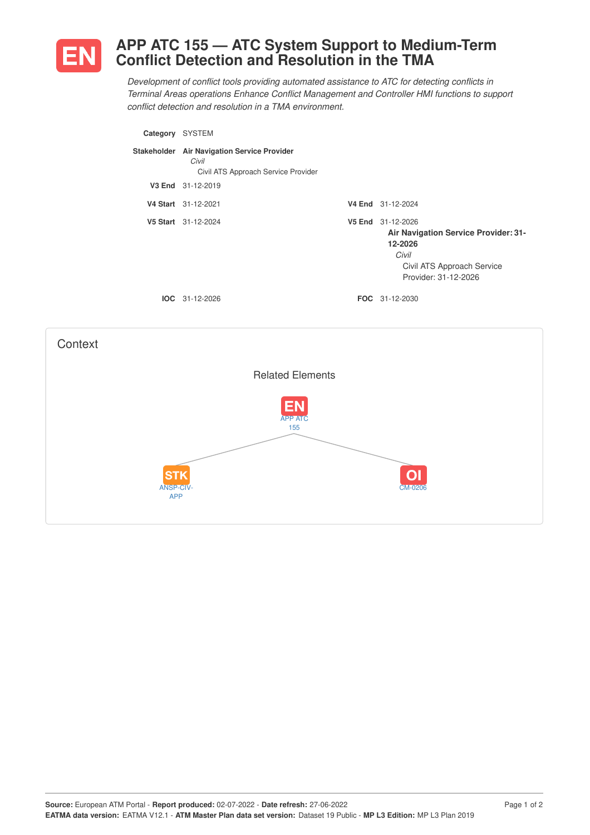

## **APP ATC 155 — ATC System Support to Medium-Term Conflict Detection and Resolution in the TMA**

*Development of conflict tools providing automated assistance to ATC for detecting conflicts in Terminal Areas operations Enhance Conflict Management and Controller HMI functions to support conflict detection and resolution in a TMA environment.*

| Category    | <b>SYSTEM</b>                                                                          |                                                                                                                                     |
|-------------|----------------------------------------------------------------------------------------|-------------------------------------------------------------------------------------------------------------------------------------|
| Stakeholder | <b>Air Navigation Service Provider</b><br>Civil<br>Civil ATS Approach Service Provider |                                                                                                                                     |
| V3 End      | 31-12-2019                                                                             |                                                                                                                                     |
|             | V4 Start 31-12-2021                                                                    | V4 End 31-12-2024                                                                                                                   |
|             | V5 Start 31-12-2024                                                                    | V5 End 31-12-2026<br>Air Navigation Service Provider: 31-<br>12-2026<br>Civil<br>Civil ATS Approach Service<br>Provider: 31-12-2026 |
|             | $IOC 31-12-2026$                                                                       | <b>FOC</b> 31-12-2030                                                                                                               |